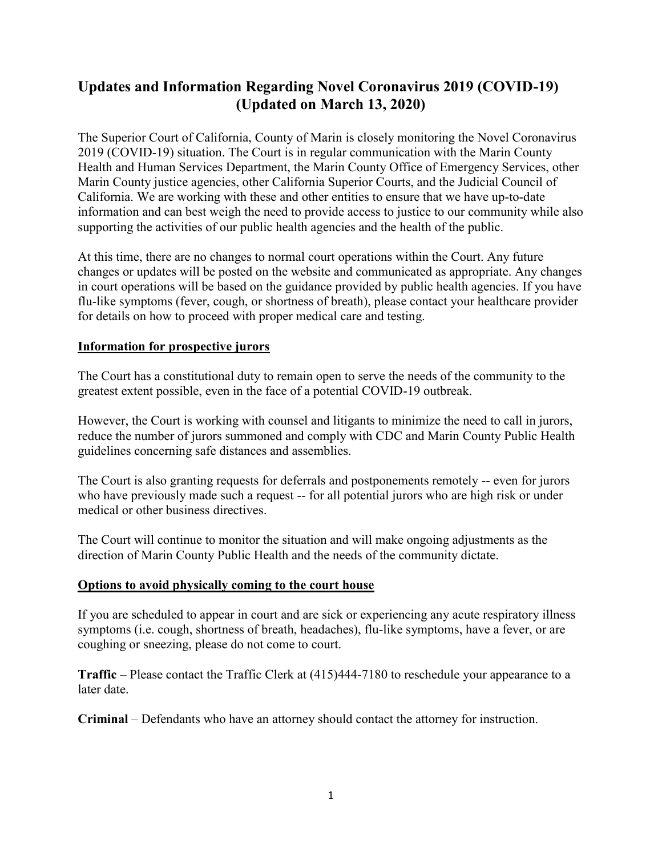## **Updates and Information Regarding Novel Coronavirus 2019 (COVID-19) (Updated on March 13, 2020)**

The Superior Court of California, County of Marin is closely monitoring the Novel Coronavirus 2019 (COVID-19) situation. The Court is in regular communication with the Marin County Health and Human Services Department, the Marin County Office of Emergency Services, other Marin County justice agencies, other California Superior Courts, and the Judicial Council of California. We are working with these and other entities to ensure that we have up-to-date information and can best weigh the need to provide access to justice to our community while also supporting the activities of our public health agencies and the health of the public.

At this time, there are no changes to normal court operations within the Court. Any future changes or updates will be posted on the website and communicated as appropriate. Any changes in court operations will be based on the guidance provided by public health agencies. If you have flu-like symptoms (fever, cough, or shortness of breath), please contact your healthcare provider for details on how to proceed with proper medical care and testing.

## **Information for prospective jurors**

The Court has a constitutional duty to remain open to serve the needs of the community to the greatest extent possible, even in the face of a potential COVID-19 outbreak.

However, the Court is working with counsel and litigants to minimize the need to call in jurors, reduce the number of jurors summoned and comply with CDC and Marin County Public Health guidelines concerning safe distances and assemblies.

The Court is also granting requests for deferrals and postponements remotely -- even for jurors who have previously made such a request -- for all potential jurors who are high risk or under medical or other business directives.

The Court will continue to monitor the situation and will make ongoing adjustments as the direction of Marin County Public Health and the needs of the community dictate.

## **Options to avoid physically coming to the court house**

If you are scheduled to appear in court and are sick or experiencing any acute respiratory illness symptoms (i.e. cough, shortness of breath, headaches), flu-like symptoms, have a fever, or are coughing or sneezing, please do not come to court.

**Traffic** – Please contact the Traffic Clerk at (415)444-7180 to reschedule your appearance to a later date.

**Criminal** – Defendants who have an attorney should contact the attorney for instruction.